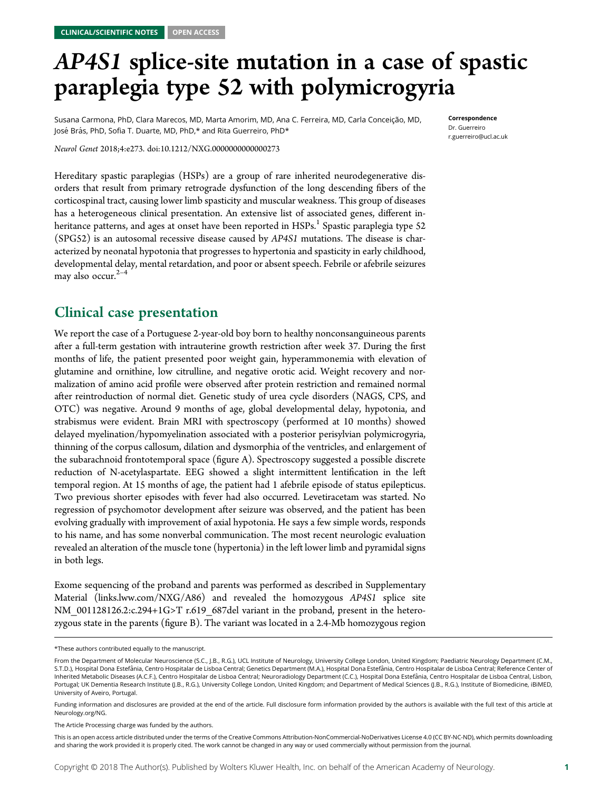## AP4S1 splice-site mutation in a case of spastic<br>paraplegia type 52 with polymicrogyria

Correspondence Dr. Guerreiro [r.guerreiro@ucl.ac.uk](mailto:r.guerreiro@ucl.ac.uk)

 $\blacksquare$   $\blacksquare$   $\blacksquare$   $\blacksquare$   $\blacksquare$   $\blacksquare$   $\blacksquare$   $\blacksquare$   $\blacksquare$   $\blacksquare$   $\blacksquare$   $\blacksquare$   $\blacksquare$   $\blacksquare$   $\blacksquare$   $\blacksquare$   $\blacksquare$   $\blacksquare$   $\blacksquare$   $\blacksquare$   $\blacksquare$   $\blacksquare$   $\blacksquare$   $\blacksquare$   $\blacksquare$   $\blacksquare$   $\blacksquare$   $\blacksquare$   $\blacksquare$   $\blacksquare$   $\blacksquare$   $\blacks$ José Brás, PhD, Sofia T. Duarte, MD, PhD,\* and Rita Guerreiro, PhD\*

Neurol Genet 2018;4:e273. doi:[10.1212/NXG.0000000000000273](http://dx.doi.org/10.1212/NXG.0000000000000273)

Hereditary spastic paraplegias (HSPs) are a group of rare inherited neurodegenerative disorders that result from primary retrograde dysfunction of the long descending fibers of the corticospinal tract, causing lower limb spasticity and muscular weakness. This group of diseases has a heterogeneous clinical presentation. An extensive list of associated genes, different inheritance patterns, and ages at onset have been reported in  $HSPs<sup>1</sup>$  Spastic paraplegia type 52 (SPG52) is an autosomal recessive disease caused by AP4S1 mutations. The disease is characterized by neonatal hypotonia that progresses to hypertonia and spasticity in early childhood, developmental delay, mental retardation, and poor or absent speech. Febrile or afebrile seizures may also occur. $2-4$ 

We report the case of a Portuguese 2-year-old boy born to healthy nonconsanguineous parents after a full-term gestation with intrauterine growth restriction after week 37. During the first months of life, the patient presented poor weight gain, hyperammonemia with elevation of glutamine and ornithine, low citrulline, and negative orotic acid. Weight recovery and normalization of amino acid profile were observed after protein restriction and remained normal after reintroduction of normal diet. Genetic study of urea cycle disorders (NAGS, CPS, and OTC) was negative. Around 9 months of age, global developmental delay, hypotonia, and strabismus were evident. Brain MRI with spectroscopy (performed at 10 months) showed delayed myelination/hypomyelination associated with a posterior perisylvian polymicrogyria, thinning of the corpus callosum, dilation and dysmorphia of the ventricles, and enlargement of the subarachnoid frontotemporal space (figure A). Spectroscopy suggested a possible discrete reduction of N-acetylaspartate. EEG showed a slight intermittent lentification in the left temporal region. At 15 months of age, the patient had 1 afebrile episode of status epilepticus. Two previous shorter episodes with fever had also occurred. Levetiracetam was started. No regression of psychomotor development after seizure was observed, and the patient has been evolving gradually with improvement of axial hypotonia. He says a few simple words, responds to his name, and has some nonverbal communication. The most recent neurologic evaluation revealed an alteration of the muscle tone (hypertonia) in the left lower limb and pyramidal signs in both legs.

Exome sequencing of the proband and parents was performed as described in Supplementary Material [\(links.lww.com/NXG/A86](http://links.lww.com/NXG/A86)) and revealed the homozygous AP4S1 splice site NM\_001128126.2:c.294+1G>T r.619\_687del variant in the proband, present in the heterozygous state in the parents (figure B). The variant was located in a 2.4-Mb homozygous region

<sup>\*</sup>These authors contributed equally to the manuscript.

From the Department of Molecular Neuroscience (S.C., J.B., R.G.), UCL Institute of Neurology, University College London, United Kingdom; Paediatric Neurology Department (C.M., S.T.D.), Hospital Dona Estefânia, Centro Hospitalar de Lisboa Central; Genetics Department (M.A.), Hospital Dona Estefânia, Centro Hospitalar de Lisboa Central; Reference Center of Inherited Metabolic Diseases (A.C.F.), Centro Hospitalar de Lisboa Central; Neuroradiology Department (C.C.), Hospital Dona Estefânia, Centro Hospitalar de Lisboa Central, Lisbon, Portugal; UK Dementia Research Institute (J.B., R.G.), University College London, United Kingdom; and Department of Medical Sciences (J.B., R.G.), Institute of Biomedicine, iBiMED, University of Aveiro, Portugal.

Funding information and disclosures are provided at the end of the article. Full disclosure form information provided by the authors is available with the full text of this article at [Neurology.org/NG](http://ng.neurology.org/lookup/doi/10.1212/NXG.0000000000000273).

The Article Processing charge was funded by the authors.

This is an open access article distributed under the terms of the [Creative Commons Attribution-NonCommercial-NoDerivatives License 4.0 \(CC BY-NC-ND\),](http://creativecommons.org/licenses/by-nc-nd/4.0/) which permits downloading and sharing the work provided it is properly cited. The work cannot be changed in any way or used commercially without permission from the journal.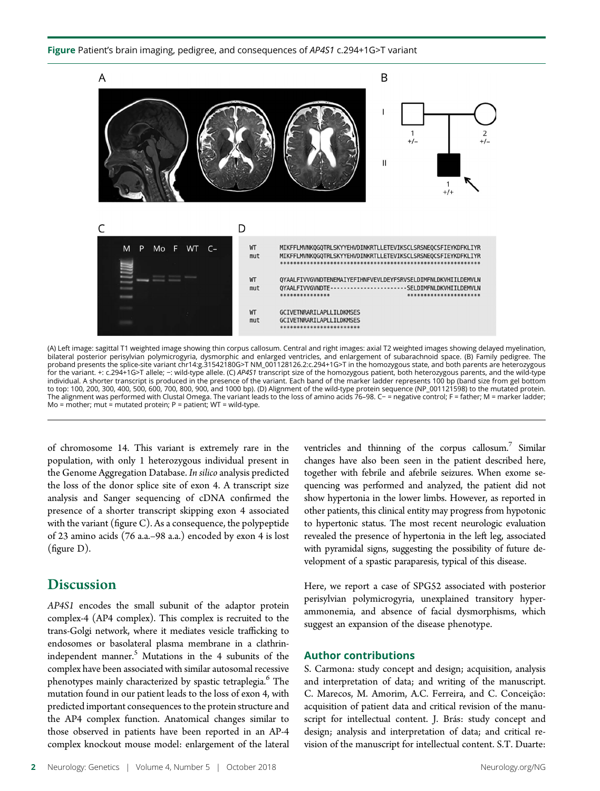#### Figure Patient's brain imaging, pedigree, and consequences of AP4S1 c.294+1G>T variant



(A) Left image: sagittal T1 weighted image showing thin corpus callosum. Central and right images: axial T2 weighted images showing delayed myelination,<br>bilateral posterior perisylvian polymicrogyria, dysmorphic and enlarg proband presents the splice-site variant chr14:g.31542180G>T NM\_001128126.2:c.294+1G>T in the homozygous state, and both parents are heterozygous<br>for the variant. +: c.294+1G>T allele; –: wild-type allele. (C) AP4S1 transc individual. A shorter transcript is produced in the presence of the variant. Each band of the marker ladder represents 100 bp (band size from gel bottom to top: 100, 200, 300, 400, 500, 600, 700, 800, 900, and 1000 bp). (D) Alignment of the wild-type protein sequence (NP\_001121598) to the mutated protein. The alignment was performed with Clustal Omega. The variant leads to the loss of amino acids 76–98. C− = negative control; F = father; M = marker ladder;  $Mo = mother$ ; mut = mutated protein;  $P = patient$ ; WT = wild-type.

of chromosome 14. This variant is extremely rare in the population, with only 1 heterozygous individual present in the Genome Aggregation Database. In silico analysis predicted the loss of the donor splice site of exon 4. A transcript size analysis and Sanger sequencing of cDNA confirmed the presence of a shorter transcript skipping exon 4 associated with the variant (figure C). As a consequence, the polypeptide of 23 amino acids (76 a.a.–98 a.a.) encoded by exon 4 is lost (figure D).

#### **Discussion**

Discussion AP4S1 encodes the small subunit of the adaptor protein complex-4 (AP4 complex). This complex is recruited to the trans-Golgi network, where it mediates vesicle trafficking to endosomes or basolateral plasma membrane in a clathrinindependent manner.<sup>5</sup> Mutations in the 4 subunits of the complex have been associated with similar autosomal recessive phenotypes mainly characterized by spastic tetraplegia.<sup>6</sup> The mutation found in our patient leads to the loss of exon 4, with predicted important consequences to the protein structure and the AP4 complex function. Anatomical changes similar to those observed in patients have been reported in an AP-4 complex knockout mouse model: enlargement of the lateral

ventricles and thinning of the corpus callosum.<sup>7</sup> Similar changes have also been seen in the patient described here, together with febrile and afebrile seizures. When exome sequencing was performed and analyzed, the patient did not show hypertonia in the lower limbs. However, as reported in other patients, this clinical entity may progress from hypotonic to hypertonic status. The most recent neurologic evaluation revealed the presence of hypertonia in the left leg, associated with pyramidal signs, suggesting the possibility of future development of a spastic paraparesis, typical of this disease.

Here, we report a case of SPG52 associated with posterior perisylvian polymicrogyria, unexplained transitory hyperammonemia, and absence of facial dysmorphisms, which suggest an expansion of the disease phenotype.

#### Author contributions

S. Carmona: study concept and design; acquisition, analysis and interpretation of data; and writing of the manuscript. C. Marecos, M. Amorim, A.C. Ferreira, and C. Conceição: acquisition of patient data and critical revision of the manuscript for intellectual content. J. Brás: study concept and design; analysis and interpretation of data; and critical revision of the manuscript for intellectual content. S.T. Duarte: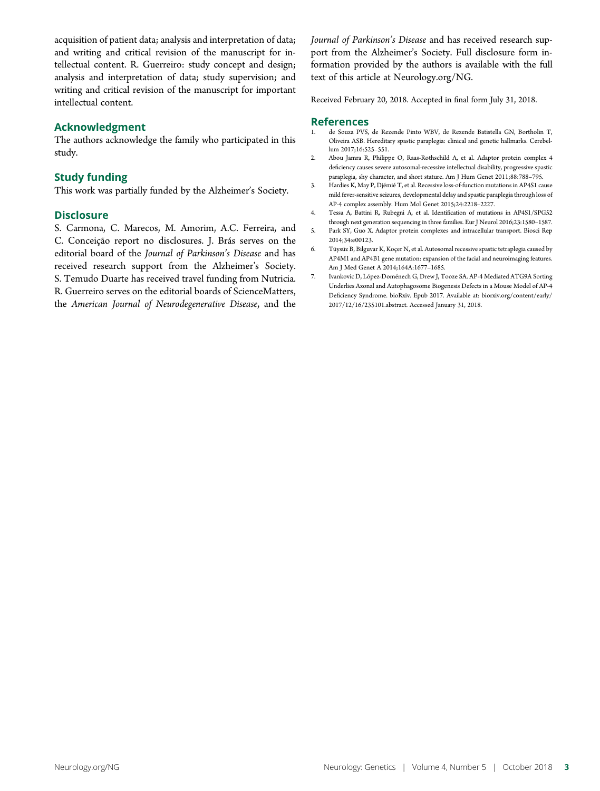acquisition of patient data; analysis and interpretation of data; and writing and critical revision of the manuscript for intellectual content. R. Guerreiro: study concept and design; analysis and interpretation of data; study supervision; and writing and critical revision of the manuscript for important intellectual content.

#### Acknowledgment

The authors acknowledge the family who participated in this study.

#### Study funding

This work was partially funded by the Alzheimer's Society.

#### **Disclosure**

S. Carmona, C. Marecos, M. Amorim, A.C. Ferreira, and C. Conceição report no disclosures. J. Brás serves on the editorial board of the Journal of Parkinson's Disease and has received research support from the Alzheimer's Society. S. Temudo Duarte has received travel funding from Nutricia. R. Guerreiro serves on the editorial boards of ScienceMatters, the American Journal of Neurodegenerative Disease, and the Journal of Parkinson's Disease and has received research support from the Alzheimer's Society. Full disclosure form information provided by the authors is available with the full text of this article at [Neurology.org/NG](http://ng.neurology.org/lookup/doi/10.1212/NXG.0000000000000273).

Received February 20, 2018. Accepted in final form July 31, 2018.

#### References

- 1. de Souza PVS, de Rezende Pinto WBV, de Rezende Batistella GN, Bortholin T, Oliveira ASB. Hereditary spastic paraplegia: clinical and genetic hallmarks. Cerebellum 2017;16:525–551.
- 2. Abou Jamra R, Philippe O, Raas-Rothschild A, et al. Adaptor protein complex 4 deficiency causes severe autosomal-recessive intellectual disability, progressive spastic paraplegia, shy character, and short stature. Am J Hum Genet 2011;88:788–795.
- 3. Hardies K, May P, Djémié T, et al. Recessive loss-of-function mutations in AP4S1 cause mild fever-sensitive seizures, developmental delay and spastic paraplegia through loss of AP-4 complex assembly. Hum Mol Genet 2015;24:2218–2227.
- 4. Tessa A, Battini R, Rubegni A, et al. Identification of mutations in AP4S1/SPG52 through next generation sequencing in three families. Eur J Neurol 2016;23:1580–1587.
- 5. Park SY, Guo X. Adaptor protein complexes and intracellular transport. Biosci Rep 2014;34:e00123.
- 6. Tüysüz B, Bilguvar K, Koçer N, et al. Autosomal recessive spastic tetraplegia caused by AP4M1 and AP4B1 gene mutation: expansion of the facial and neuroimaging features. Am J Med Genet A 2014;164A:1677–1685.
- 7. Ivankovic D, López-Doménech G, Drew J, Tooze SA. AP-4 Mediated ATG9A Sorting Underlies Axonal and Autophagosome Biogenesis Defects in a Mouse Model of AP-4 Deficiency Syndrome. bioRxiv. Epub 2017. Available at: [biorxiv.org/content/early/](https://www.biorxiv.org/content/early/2017/12/16/235101.abstract) [2017/12/16/235101.abstract](https://www.biorxiv.org/content/early/2017/12/16/235101.abstract). Accessed January 31, 2018.